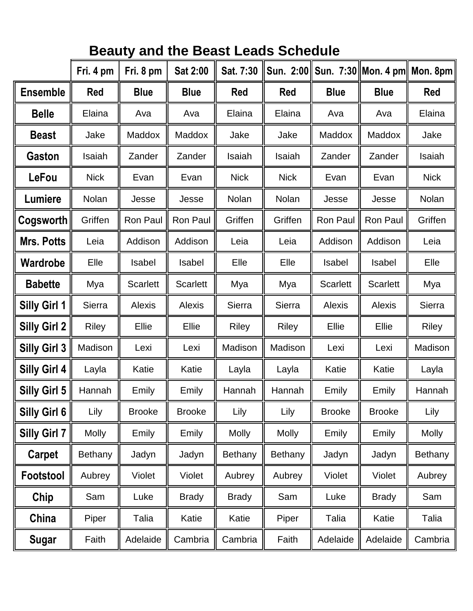|                     | Fri. 4 pm      | Fri. 8 pm       | Sat 2:00        | Sat. 7:30      |                |                 | Sun. 2:00 Sun. 7:30 Mon. 4 pm Mon. 8pm |                |
|---------------------|----------------|-----------------|-----------------|----------------|----------------|-----------------|----------------------------------------|----------------|
| <b>Ensemble</b>     | <b>Red</b>     | <b>Blue</b>     | <b>Blue</b>     | Red            | <b>Red</b>     | <b>Blue</b>     | <b>Blue</b>                            | <b>Red</b>     |
| <b>Belle</b>        | Elaina         | Ava             | Ava             | Elaina         | Elaina         | Ava             | Ava                                    | Elaina         |
| <b>Beast</b>        | Jake           | Maddox          | <b>Maddox</b>   | Jake           | Jake           | Maddox          | <b>Maddox</b>                          | Jake           |
| <b>Gaston</b>       | Isaiah         | Zander          | Zander          | Isaiah         | Isaiah         | Zander          | Zander                                 | Isaiah         |
| LeFou               | <b>Nick</b>    | Evan            | Evan            | <b>Nick</b>    | <b>Nick</b>    | Evan            | Evan                                   | <b>Nick</b>    |
| Lumiere             | Nolan          | Jesse           | Jesse           | Nolan          | Nolan          | Jesse           | Jesse                                  | Nolan          |
| Cogsworth           | Griffen        | <b>Ron Paul</b> | <b>Ron Paul</b> | Griffen        | Griffen        | <b>Ron Paul</b> | <b>Ron Paul</b>                        | Griffen        |
| <b>Mrs. Potts</b>   | Leia           | Addison         | Addison         | Leia           | Leia           | Addison         | Addison                                | Leia           |
| Wardrobe            | Elle           | Isabel          | <b>Isabel</b>   | Elle           | Elle           | <b>Isabel</b>   | Isabel                                 | Elle           |
| <b>Babette</b>      | Mya            | <b>Scarlett</b> | <b>Scarlett</b> | Mya            | Mya            | <b>Scarlett</b> | <b>Scarlett</b>                        | Mya            |
| <b>Silly Girl 1</b> | Sierra         | <b>Alexis</b>   | Alexis          | Sierra         | Sierra         | Alexis          | Alexis                                 | Sierra         |
| <b>Silly Girl 2</b> | <b>Riley</b>   | Ellie           | Ellie           | <b>Riley</b>   | <b>Riley</b>   | Ellie           | <b>Ellie</b>                           | <b>Riley</b>   |
| <b>Silly Girl 3</b> | Madison        | Lexi            | Lexi            | Madison        | Madison        | Lexi            | Lexi                                   | Madison        |
| <b>Silly Girl 4</b> | Layla          | Katie           | Katie           | Layla          | Layla          | Katie           | Katie                                  | Layla          |
| Silly Girl 5        | Hannah         | Emily           | Emily           | Hannah         | Hannah         | Emily           | Emily                                  | Hannah         |
| Silly Girl 6        | Lily           | <b>Brooke</b>   | <b>Brooke</b>   | Lily           | Lily           | <b>Brooke</b>   | <b>Brooke</b>                          | Lily           |
| Silly Girl 7        | <b>Molly</b>   | Emily           | Emily           | <b>Molly</b>   | <b>Molly</b>   | Emily           | Emily                                  | <b>Molly</b>   |
| Carpet              | <b>Bethany</b> | Jadyn           | Jadyn           | <b>Bethany</b> | <b>Bethany</b> | Jadyn           | Jadyn                                  | <b>Bethany</b> |
| Footstool           | Aubrey         | Violet          | Violet          | Aubrey         | Aubrey         | Violet          | Violet                                 | Aubrey         |
| Chip                | Sam            | Luke            | <b>Brady</b>    | <b>Brady</b>   | Sam            | Luke            | <b>Brady</b>                           | Sam            |
| China               | Piper          | Talia           | Katie           | Katie          | Piper          | Talia           | Katie                                  | Talia          |
| Sugar               | Faith          | Adelaide        | Cambria         | Cambria        | Faith          | Adelaide        | Adelaide                               | Cambria        |

## **Beauty and the Beast Leads Schedule**